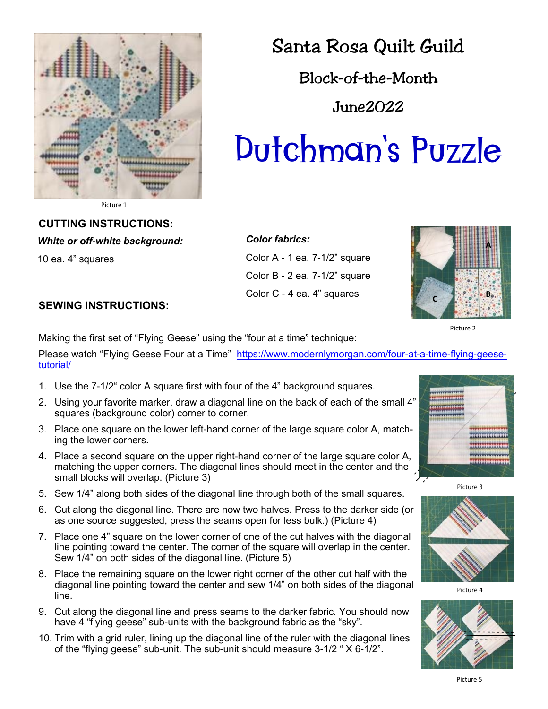

## Santa Rosa Quilt Guild

Block-of-the-Month

June2022

# Dutchman's Puzzle

Picture 1

#### **CUTTING INSTRUCTIONS:**

*White or off-white background:*

10 ea. 4" squares

*Color fabrics:*  Color A - 1 ea. 7-1/2" square Color B - 2 ea. 7-1/2" square Color C - 4 ea. 4" squares



Picture 2

### **SEWING INSTRUCTIONS:**

Making the first set of "Flying Geese" using the "four at a time" technique:

Please watch "Flying Geese Four at a Time" [https://www.modernlymorgan.com/four-at-a-time-flying-geese](https://www.modernlymorgan.com/four-at-a-time-flying-geese-tutorial/)[tutorial/](https://www.modernlymorgan.com/four-at-a-time-flying-geese-tutorial/) 

- 1. Use the 7-1/2" color A square first with four of the 4" background squares.
- 2. Using your favorite marker, draw a diagonal line on the back of each of the small 4" squares (background color) corner to corner.
- 3. Place one square on the lower left-hand corner of the large square color A, matching the lower corners.
- 4. Place a second square on the upper right-hand corner of the large square color A, matching the upper corners. The diagonal lines should meet in the center and the small blocks will overlap. (Picture 3)
- 5. Sew 1/4" along both sides of the diagonal line through both of the small squares.
- 6. Cut along the diagonal line. There are now two halves. Press to the darker side (or as one source suggested, press the seams open for less bulk.) (Picture 4)
- 7. Place one 4" square on the lower corner of one of the cut halves with the diagonal line pointing toward the center. The corner of the square will overlap in the center. Sew 1/4" on both sides of the diagonal line. (Picture 5)
- 8. Place the remaining square on the lower right corner of the other cut half with the diagonal line pointing toward the center and sew 1/4" on both sides of the diagonal line.
- 9. Cut along the diagonal line and press seams to the darker fabric. You should now have 4 "flying geese" sub-units with the background fabric as the "sky".
- 10. Trim with a grid ruler, lining up the diagonal line of the ruler with the diagonal lines of the "flying geese" sub-unit. The sub-unit should measure 3-1/2 " X 6-1/2".



Picture 3



Picture 4



Picture 5